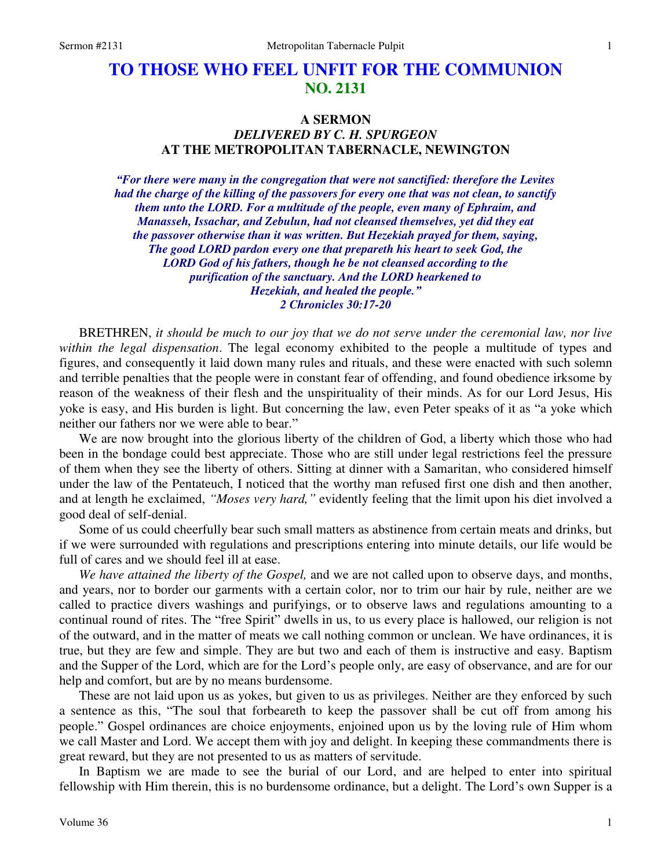# **TO THOSE WHO FEEL UNFIT FOR THE COMMUNION NO. 2131**

## **A SERMON**  *DELIVERED BY C. H. SPURGEON*  **AT THE METROPOLITAN TABERNACLE, NEWINGTON**

*"For there were many in the congregation that were not sanctified: therefore the Levites had the charge of the killing of the passovers for every one that was not clean, to sanctify them unto the LORD. For a multitude of the people, even many of Ephraim, and Manasseh, Issachar, and Zebulun, had not cleansed themselves, yet did they eat the passover otherwise than it was written. But Hezekiah prayed for them, saying, The good LORD pardon every one that prepareth his heart to seek God, the LORD God of his fathers, though he be not cleansed according to the purification of the sanctuary. And the LORD hearkened to Hezekiah, and healed the people." 2 Chronicles 30:17-20*

BRETHREN, *it should be much to our joy that we do not serve under the ceremonial law, nor live within the legal dispensation*. The legal economy exhibited to the people a multitude of types and figures, and consequently it laid down many rules and rituals, and these were enacted with such solemn and terrible penalties that the people were in constant fear of offending, and found obedience irksome by reason of the weakness of their flesh and the unspirituality of their minds. As for our Lord Jesus, His yoke is easy, and His burden is light. But concerning the law, even Peter speaks of it as "a yoke which neither our fathers nor we were able to bear."

 We are now brought into the glorious liberty of the children of God, a liberty which those who had been in the bondage could best appreciate. Those who are still under legal restrictions feel the pressure of them when they see the liberty of others. Sitting at dinner with a Samaritan, who considered himself under the law of the Pentateuch, I noticed that the worthy man refused first one dish and then another, and at length he exclaimed, *"Moses very hard,"* evidently feeling that the limit upon his diet involved a good deal of self-denial.

 Some of us could cheerfully bear such small matters as abstinence from certain meats and drinks, but if we were surrounded with regulations and prescriptions entering into minute details, our life would be full of cares and we should feel ill at ease.

*We have attained the liberty of the Gospel,* and we are not called upon to observe days, and months, and years, nor to border our garments with a certain color, nor to trim our hair by rule, neither are we called to practice divers washings and purifyings, or to observe laws and regulations amounting to a continual round of rites. The "free Spirit" dwells in us, to us every place is hallowed, our religion is not of the outward, and in the matter of meats we call nothing common or unclean. We have ordinances, it is true, but they are few and simple. They are but two and each of them is instructive and easy. Baptism and the Supper of the Lord, which are for the Lord's people only, are easy of observance, and are for our help and comfort, but are by no means burdensome.

 These are not laid upon us as yokes, but given to us as privileges. Neither are they enforced by such a sentence as this, "The soul that forbeareth to keep the passover shall be cut off from among his people." Gospel ordinances are choice enjoyments, enjoined upon us by the loving rule of Him whom we call Master and Lord. We accept them with joy and delight. In keeping these commandments there is great reward, but they are not presented to us as matters of servitude.

 In Baptism we are made to see the burial of our Lord, and are helped to enter into spiritual fellowship with Him therein, this is no burdensome ordinance, but a delight. The Lord's own Supper is a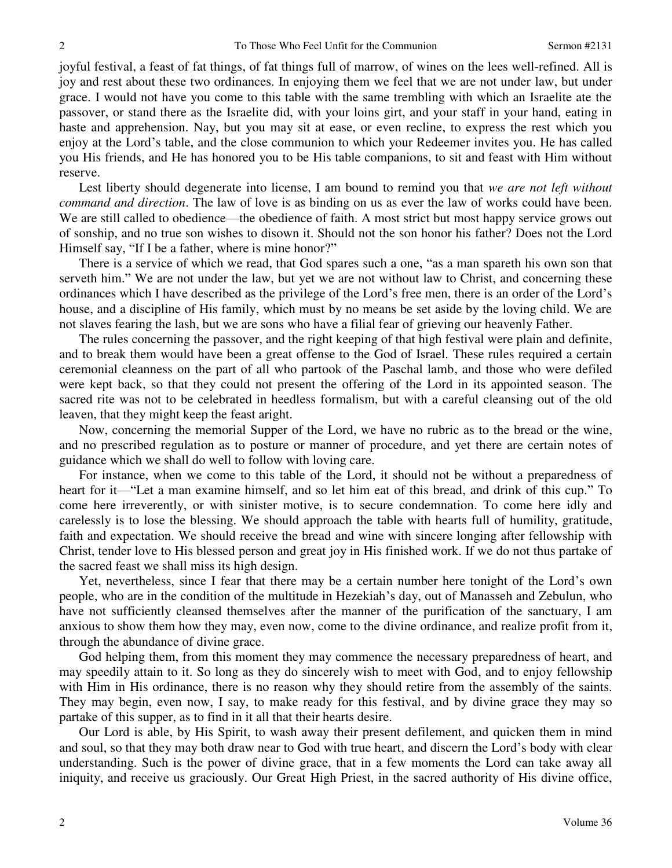joyful festival, a feast of fat things, of fat things full of marrow, of wines on the lees well-refined. All is joy and rest about these two ordinances. In enjoying them we feel that we are not under law, but under grace. I would not have you come to this table with the same trembling with which an Israelite ate the passover, or stand there as the Israelite did, with your loins girt, and your staff in your hand, eating in haste and apprehension. Nay, but you may sit at ease, or even recline, to express the rest which you enjoy at the Lord's table, and the close communion to which your Redeemer invites you. He has called you His friends, and He has honored you to be His table companions, to sit and feast with Him without reserve.

 Lest liberty should degenerate into license, I am bound to remind you that *we are not left without command and direction*. The law of love is as binding on us as ever the law of works could have been. We are still called to obedience—the obedience of faith. A most strict but most happy service grows out of sonship, and no true son wishes to disown it. Should not the son honor his father? Does not the Lord Himself say, "If I be a father, where is mine honor?"

 There is a service of which we read, that God spares such a one, "as a man spareth his own son that serveth him." We are not under the law, but yet we are not without law to Christ, and concerning these ordinances which I have described as the privilege of the Lord's free men, there is an order of the Lord's house, and a discipline of His family, which must by no means be set aside by the loving child. We are not slaves fearing the lash, but we are sons who have a filial fear of grieving our heavenly Father.

 The rules concerning the passover, and the right keeping of that high festival were plain and definite, and to break them would have been a great offense to the God of Israel. These rules required a certain ceremonial cleanness on the part of all who partook of the Paschal lamb, and those who were defiled were kept back, so that they could not present the offering of the Lord in its appointed season. The sacred rite was not to be celebrated in heedless formalism, but with a careful cleansing out of the old leaven, that they might keep the feast aright.

 Now, concerning the memorial Supper of the Lord, we have no rubric as to the bread or the wine, and no prescribed regulation as to posture or manner of procedure, and yet there are certain notes of guidance which we shall do well to follow with loving care.

 For instance, when we come to this table of the Lord, it should not be without a preparedness of heart for it—"Let a man examine himself, and so let him eat of this bread, and drink of this cup." To come here irreverently, or with sinister motive, is to secure condemnation. To come here idly and carelessly is to lose the blessing. We should approach the table with hearts full of humility, gratitude, faith and expectation. We should receive the bread and wine with sincere longing after fellowship with Christ, tender love to His blessed person and great joy in His finished work. If we do not thus partake of the sacred feast we shall miss its high design.

 Yet, nevertheless, since I fear that there may be a certain number here tonight of the Lord's own people, who are in the condition of the multitude in Hezekiah's day, out of Manasseh and Zebulun, who have not sufficiently cleansed themselves after the manner of the purification of the sanctuary, I am anxious to show them how they may, even now, come to the divine ordinance, and realize profit from it, through the abundance of divine grace.

 God helping them, from this moment they may commence the necessary preparedness of heart, and may speedily attain to it. So long as they do sincerely wish to meet with God, and to enjoy fellowship with Him in His ordinance, there is no reason why they should retire from the assembly of the saints. They may begin, even now, I say, to make ready for this festival, and by divine grace they may so partake of this supper, as to find in it all that their hearts desire.

 Our Lord is able, by His Spirit, to wash away their present defilement, and quicken them in mind and soul, so that they may both draw near to God with true heart, and discern the Lord's body with clear understanding. Such is the power of divine grace, that in a few moments the Lord can take away all iniquity, and receive us graciously. Our Great High Priest, in the sacred authority of His divine office,

2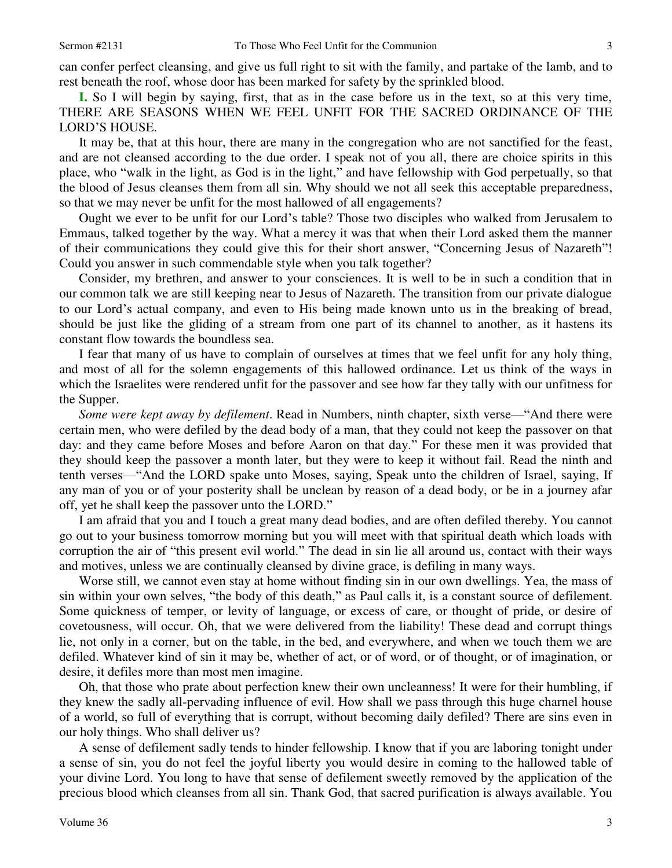can confer perfect cleansing, and give us full right to sit with the family, and partake of the lamb, and to rest beneath the roof, whose door has been marked for safety by the sprinkled blood.

**I.** So I will begin by saying, first, that as in the case before us in the text, so at this very time, THERE ARE SEASONS WHEN WE FEEL UNFIT FOR THE SACRED ORDINANCE OF THE LORD'S HOUSE.

 It may be, that at this hour, there are many in the congregation who are not sanctified for the feast, and are not cleansed according to the due order. I speak not of you all, there are choice spirits in this place, who "walk in the light, as God is in the light," and have fellowship with God perpetually, so that the blood of Jesus cleanses them from all sin. Why should we not all seek this acceptable preparedness, so that we may never be unfit for the most hallowed of all engagements?

 Ought we ever to be unfit for our Lord's table? Those two disciples who walked from Jerusalem to Emmaus, talked together by the way. What a mercy it was that when their Lord asked them the manner of their communications they could give this for their short answer, "Concerning Jesus of Nazareth"! Could you answer in such commendable style when you talk together?

 Consider, my brethren, and answer to your consciences. It is well to be in such a condition that in our common talk we are still keeping near to Jesus of Nazareth. The transition from our private dialogue to our Lord's actual company, and even to His being made known unto us in the breaking of bread, should be just like the gliding of a stream from one part of its channel to another, as it hastens its constant flow towards the boundless sea.

 I fear that many of us have to complain of ourselves at times that we feel unfit for any holy thing, and most of all for the solemn engagements of this hallowed ordinance. Let us think of the ways in which the Israelites were rendered unfit for the passover and see how far they tally with our unfitness for the Supper.

*Some were kept away by defilement*. Read in Numbers, ninth chapter, sixth verse—"And there were certain men, who were defiled by the dead body of a man, that they could not keep the passover on that day: and they came before Moses and before Aaron on that day." For these men it was provided that they should keep the passover a month later, but they were to keep it without fail. Read the ninth and tenth verses—"And the LORD spake unto Moses, saying, Speak unto the children of Israel, saying, If any man of you or of your posterity shall be unclean by reason of a dead body, or be in a journey afar off, yet he shall keep the passover unto the LORD."

 I am afraid that you and I touch a great many dead bodies, and are often defiled thereby. You cannot go out to your business tomorrow morning but you will meet with that spiritual death which loads with corruption the air of "this present evil world." The dead in sin lie all around us, contact with their ways and motives, unless we are continually cleansed by divine grace, is defiling in many ways.

 Worse still, we cannot even stay at home without finding sin in our own dwellings. Yea, the mass of sin within your own selves, "the body of this death," as Paul calls it, is a constant source of defilement. Some quickness of temper, or levity of language, or excess of care, or thought of pride, or desire of covetousness, will occur. Oh, that we were delivered from the liability! These dead and corrupt things lie, not only in a corner, but on the table, in the bed, and everywhere, and when we touch them we are defiled. Whatever kind of sin it may be, whether of act, or of word, or of thought, or of imagination, or desire, it defiles more than most men imagine.

 Oh, that those who prate about perfection knew their own uncleanness! It were for their humbling, if they knew the sadly all-pervading influence of evil. How shall we pass through this huge charnel house of a world, so full of everything that is corrupt, without becoming daily defiled? There are sins even in our holy things. Who shall deliver us?

 A sense of defilement sadly tends to hinder fellowship. I know that if you are laboring tonight under a sense of sin, you do not feel the joyful liberty you would desire in coming to the hallowed table of your divine Lord. You long to have that sense of defilement sweetly removed by the application of the precious blood which cleanses from all sin. Thank God, that sacred purification is always available. You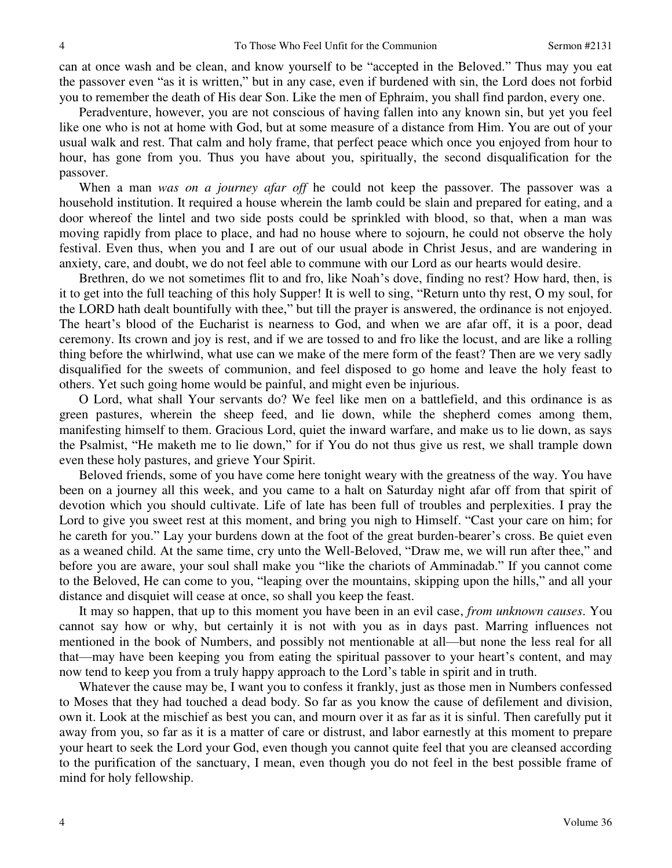can at once wash and be clean, and know yourself to be "accepted in the Beloved." Thus may you eat the passover even "as it is written," but in any case, even if burdened with sin, the Lord does not forbid you to remember the death of His dear Son. Like the men of Ephraim, you shall find pardon, every one.

 Peradventure, however, you are not conscious of having fallen into any known sin, but yet you feel like one who is not at home with God, but at some measure of a distance from Him. You are out of your usual walk and rest. That calm and holy frame, that perfect peace which once you enjoyed from hour to hour, has gone from you. Thus you have about you, spiritually, the second disqualification for the passover.

 When a man *was on a journey afar off* he could not keep the passover. The passover was a household institution. It required a house wherein the lamb could be slain and prepared for eating, and a door whereof the lintel and two side posts could be sprinkled with blood, so that, when a man was moving rapidly from place to place, and had no house where to sojourn, he could not observe the holy festival. Even thus, when you and I are out of our usual abode in Christ Jesus, and are wandering in anxiety, care, and doubt, we do not feel able to commune with our Lord as our hearts would desire.

Brethren, do we not sometimes flit to and fro, like Noah's dove, finding no rest? How hard, then, is it to get into the full teaching of this holy Supper! It is well to sing, "Return unto thy rest, O my soul, for the LORD hath dealt bountifully with thee," but till the prayer is answered, the ordinance is not enjoyed. The heart's blood of the Eucharist is nearness to God, and when we are afar off, it is a poor, dead ceremony. Its crown and joy is rest, and if we are tossed to and fro like the locust, and are like a rolling thing before the whirlwind, what use can we make of the mere form of the feast? Then are we very sadly disqualified for the sweets of communion, and feel disposed to go home and leave the holy feast to others. Yet such going home would be painful, and might even be injurious.

 O Lord, what shall Your servants do? We feel like men on a battlefield, and this ordinance is as green pastures, wherein the sheep feed, and lie down, while the shepherd comes among them, manifesting himself to them. Gracious Lord, quiet the inward warfare, and make us to lie down, as says the Psalmist, "He maketh me to lie down," for if You do not thus give us rest, we shall trample down even these holy pastures, and grieve Your Spirit.

 Beloved friends, some of you have come here tonight weary with the greatness of the way. You have been on a journey all this week, and you came to a halt on Saturday night afar off from that spirit of devotion which you should cultivate. Life of late has been full of troubles and perplexities. I pray the Lord to give you sweet rest at this moment, and bring you nigh to Himself. "Cast your care on him; for he careth for you." Lay your burdens down at the foot of the great burden-bearer's cross. Be quiet even as a weaned child. At the same time, cry unto the Well-Beloved, "Draw me, we will run after thee," and before you are aware, your soul shall make you "like the chariots of Amminadab." If you cannot come to the Beloved, He can come to you, "leaping over the mountains, skipping upon the hills," and all your distance and disquiet will cease at once, so shall you keep the feast.

 It may so happen, that up to this moment you have been in an evil case, *from unknown causes*. You cannot say how or why, but certainly it is not with you as in days past. Marring influences not mentioned in the book of Numbers, and possibly not mentionable at all—but none the less real for all that—may have been keeping you from eating the spiritual passover to your heart's content, and may now tend to keep you from a truly happy approach to the Lord's table in spirit and in truth.

 Whatever the cause may be, I want you to confess it frankly, just as those men in Numbers confessed to Moses that they had touched a dead body. So far as you know the cause of defilement and division, own it. Look at the mischief as best you can, and mourn over it as far as it is sinful. Then carefully put it away from you, so far as it is a matter of care or distrust, and labor earnestly at this moment to prepare your heart to seek the Lord your God, even though you cannot quite feel that you are cleansed according to the purification of the sanctuary, I mean, even though you do not feel in the best possible frame of mind for holy fellowship.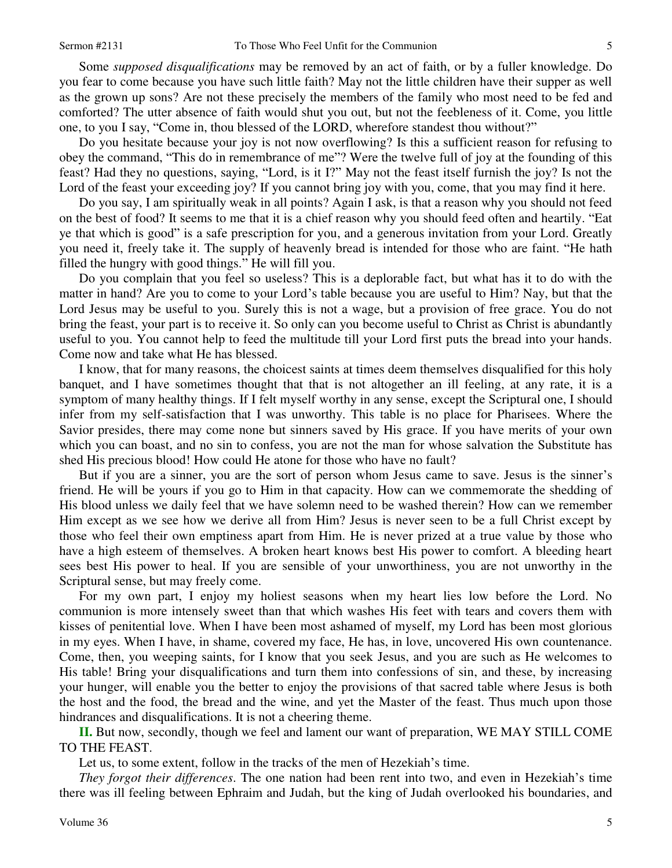Some *supposed disqualifications* may be removed by an act of faith, or by a fuller knowledge. Do you fear to come because you have such little faith? May not the little children have their supper as well as the grown up sons? Are not these precisely the members of the family who most need to be fed and comforted? The utter absence of faith would shut you out, but not the feebleness of it. Come, you little one, to you I say, "Come in, thou blessed of the LORD, wherefore standest thou without?"

 Do you hesitate because your joy is not now overflowing? Is this a sufficient reason for refusing to obey the command, "This do in remembrance of me"? Were the twelve full of joy at the founding of this feast? Had they no questions, saying, "Lord, is it I?" May not the feast itself furnish the joy? Is not the Lord of the feast your exceeding joy? If you cannot bring joy with you, come, that you may find it here.

 Do you say, I am spiritually weak in all points? Again I ask, is that a reason why you should not feed on the best of food? It seems to me that it is a chief reason why you should feed often and heartily. "Eat ye that which is good" is a safe prescription for you, and a generous invitation from your Lord. Greatly you need it, freely take it. The supply of heavenly bread is intended for those who are faint. "He hath filled the hungry with good things." He will fill you.

 Do you complain that you feel so useless? This is a deplorable fact, but what has it to do with the matter in hand? Are you to come to your Lord's table because you are useful to Him? Nay, but that the Lord Jesus may be useful to you. Surely this is not a wage, but a provision of free grace. You do not bring the feast, your part is to receive it. So only can you become useful to Christ as Christ is abundantly useful to you. You cannot help to feed the multitude till your Lord first puts the bread into your hands. Come now and take what He has blessed.

 I know, that for many reasons, the choicest saints at times deem themselves disqualified for this holy banquet, and I have sometimes thought that that is not altogether an ill feeling, at any rate, it is a symptom of many healthy things. If I felt myself worthy in any sense, except the Scriptural one, I should infer from my self-satisfaction that I was unworthy. This table is no place for Pharisees. Where the Savior presides, there may come none but sinners saved by His grace. If you have merits of your own which you can boast, and no sin to confess, you are not the man for whose salvation the Substitute has shed His precious blood! How could He atone for those who have no fault?

 But if you are a sinner, you are the sort of person whom Jesus came to save. Jesus is the sinner's friend. He will be yours if you go to Him in that capacity. How can we commemorate the shedding of His blood unless we daily feel that we have solemn need to be washed therein? How can we remember Him except as we see how we derive all from Him? Jesus is never seen to be a full Christ except by those who feel their own emptiness apart from Him. He is never prized at a true value by those who have a high esteem of themselves. A broken heart knows best His power to comfort. A bleeding heart sees best His power to heal. If you are sensible of your unworthiness, you are not unworthy in the Scriptural sense, but may freely come.

 For my own part, I enjoy my holiest seasons when my heart lies low before the Lord. No communion is more intensely sweet than that which washes His feet with tears and covers them with kisses of penitential love. When I have been most ashamed of myself, my Lord has been most glorious in my eyes. When I have, in shame, covered my face, He has, in love, uncovered His own countenance. Come, then, you weeping saints, for I know that you seek Jesus, and you are such as He welcomes to His table! Bring your disqualifications and turn them into confessions of sin, and these, by increasing your hunger, will enable you the better to enjoy the provisions of that sacred table where Jesus is both the host and the food, the bread and the wine, and yet the Master of the feast. Thus much upon those hindrances and disqualifications. It is not a cheering theme.

**II.** But now, secondly, though we feel and lament our want of preparation, WE MAY STILL COME TO THE FEAST.

Let us, to some extent, follow in the tracks of the men of Hezekiah's time.

*They forgot their differences*. The one nation had been rent into two, and even in Hezekiah's time there was ill feeling between Ephraim and Judah, but the king of Judah overlooked his boundaries, and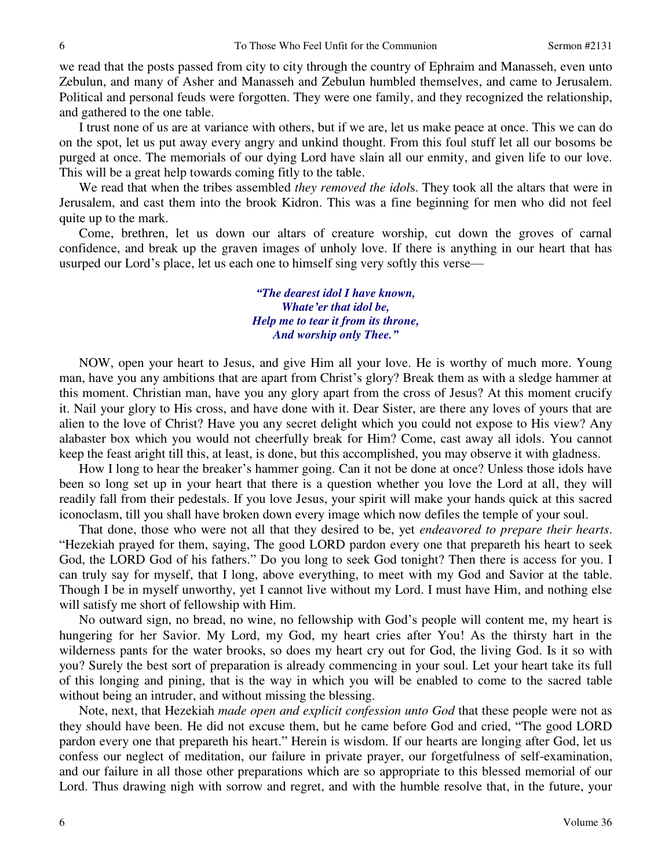we read that the posts passed from city to city through the country of Ephraim and Manasseh, even unto Zebulun, and many of Asher and Manasseh and Zebulun humbled themselves, and came to Jerusalem. Political and personal feuds were forgotten. They were one family, and they recognized the relationship, and gathered to the one table.

 I trust none of us are at variance with others, but if we are, let us make peace at once. This we can do on the spot, let us put away every angry and unkind thought. From this foul stuff let all our bosoms be purged at once. The memorials of our dying Lord have slain all our enmity, and given life to our love. This will be a great help towards coming fitly to the table.

 We read that when the tribes assembled *they removed the idol*s. They took all the altars that were in Jerusalem, and cast them into the brook Kidron. This was a fine beginning for men who did not feel quite up to the mark.

 Come, brethren, let us down our altars of creature worship, cut down the groves of carnal confidence, and break up the graven images of unholy love. If there is anything in our heart that has usurped our Lord's place, let us each one to himself sing very softly this verse—

### *"The dearest idol I have known, Whate'er that idol be, Help me to tear it from its throne, And worship only Thee."*

NOW, open your heart to Jesus, and give Him all your love. He is worthy of much more. Young man, have you any ambitions that are apart from Christ's glory? Break them as with a sledge hammer at this moment. Christian man, have you any glory apart from the cross of Jesus? At this moment crucify it. Nail your glory to His cross, and have done with it. Dear Sister, are there any loves of yours that are alien to the love of Christ? Have you any secret delight which you could not expose to His view? Any alabaster box which you would not cheerfully break for Him? Come, cast away all idols. You cannot keep the feast aright till this, at least, is done, but this accomplished, you may observe it with gladness.

 How I long to hear the breaker's hammer going. Can it not be done at once? Unless those idols have been so long set up in your heart that there is a question whether you love the Lord at all, they will readily fall from their pedestals. If you love Jesus, your spirit will make your hands quick at this sacred iconoclasm, till you shall have broken down every image which now defiles the temple of your soul.

 That done, those who were not all that they desired to be, yet *endeavored to prepare their hearts*. "Hezekiah prayed for them, saying, The good LORD pardon every one that prepareth his heart to seek God, the LORD God of his fathers." Do you long to seek God tonight? Then there is access for you. I can truly say for myself, that I long, above everything, to meet with my God and Savior at the table. Though I be in myself unworthy, yet I cannot live without my Lord. I must have Him, and nothing else will satisfy me short of fellowship with Him.

 No outward sign, no bread, no wine, no fellowship with God's people will content me, my heart is hungering for her Savior. My Lord, my God, my heart cries after You! As the thirsty hart in the wilderness pants for the water brooks, so does my heart cry out for God, the living God. Is it so with you? Surely the best sort of preparation is already commencing in your soul. Let your heart take its full of this longing and pining, that is the way in which you will be enabled to come to the sacred table without being an intruder, and without missing the blessing.

 Note, next, that Hezekiah *made open and explicit confession unto God* that these people were not as they should have been. He did not excuse them, but he came before God and cried, "The good LORD pardon every one that prepareth his heart." Herein is wisdom. If our hearts are longing after God, let us confess our neglect of meditation, our failure in private prayer, our forgetfulness of self-examination, and our failure in all those other preparations which are so appropriate to this blessed memorial of our Lord. Thus drawing nigh with sorrow and regret, and with the humble resolve that, in the future, your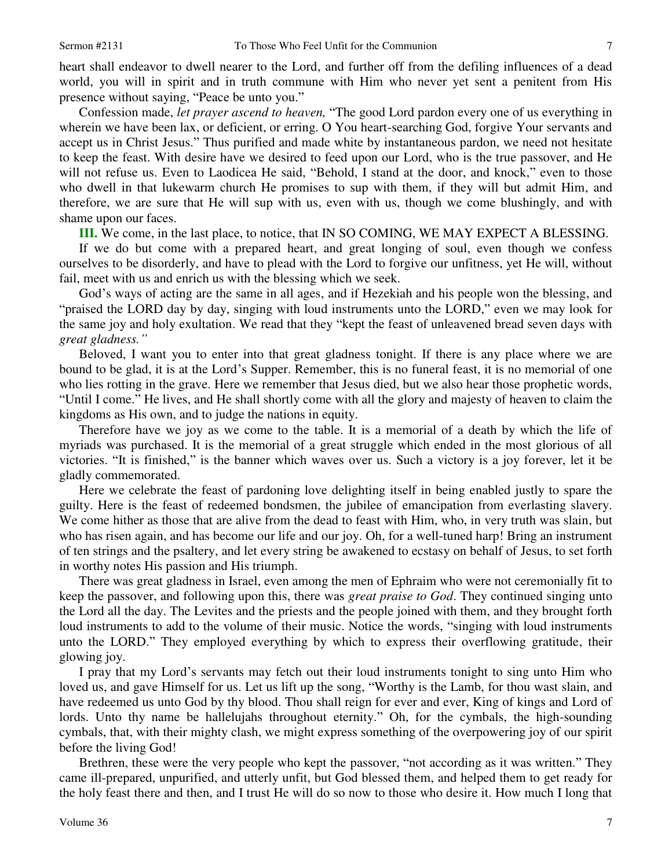heart shall endeavor to dwell nearer to the Lord, and further off from the defiling influences of a dead world, you will in spirit and in truth commune with Him who never yet sent a penitent from His presence without saying, "Peace be unto you."

 Confession made, *let prayer ascend to heaven,* "The good Lord pardon every one of us everything in wherein we have been lax, or deficient, or erring. O You heart-searching God, forgive Your servants and accept us in Christ Jesus." Thus purified and made white by instantaneous pardon, we need not hesitate to keep the feast. With desire have we desired to feed upon our Lord, who is the true passover, and He will not refuse us. Even to Laodicea He said, "Behold, I stand at the door, and knock," even to those who dwell in that lukewarm church He promises to sup with them, if they will but admit Him, and therefore, we are sure that He will sup with us, even with us, though we come blushingly, and with shame upon our faces.

**III.** We come, in the last place, to notice, that IN SO COMING, WE MAY EXPECT A BLESSING.

 If we do but come with a prepared heart, and great longing of soul, even though we confess ourselves to be disorderly, and have to plead with the Lord to forgive our unfitness, yet He will, without fail, meet with us and enrich us with the blessing which we seek.

 God's ways of acting are the same in all ages, and if Hezekiah and his people won the blessing, and "praised the LORD day by day, singing with loud instruments unto the LORD," even we may look for the same joy and holy exultation. We read that they "kept the feast of unleavened bread seven days with *great gladness."*

 Beloved, I want you to enter into that great gladness tonight. If there is any place where we are bound to be glad, it is at the Lord's Supper. Remember, this is no funeral feast, it is no memorial of one who lies rotting in the grave. Here we remember that Jesus died, but we also hear those prophetic words, "Until I come." He lives, and He shall shortly come with all the glory and majesty of heaven to claim the kingdoms as His own, and to judge the nations in equity.

 Therefore have we joy as we come to the table. It is a memorial of a death by which the life of myriads was purchased. It is the memorial of a great struggle which ended in the most glorious of all victories. "It is finished," is the banner which waves over us. Such a victory is a joy forever, let it be gladly commemorated.

 Here we celebrate the feast of pardoning love delighting itself in being enabled justly to spare the guilty. Here is the feast of redeemed bondsmen, the jubilee of emancipation from everlasting slavery. We come hither as those that are alive from the dead to feast with Him, who, in very truth was slain, but who has risen again, and has become our life and our joy. Oh, for a well-tuned harp! Bring an instrument of ten strings and the psaltery, and let every string be awakened to ecstasy on behalf of Jesus, to set forth in worthy notes His passion and His triumph.

 There was great gladness in Israel, even among the men of Ephraim who were not ceremonially fit to keep the passover, and following upon this, there was *great praise to God*. They continued singing unto the Lord all the day. The Levites and the priests and the people joined with them, and they brought forth loud instruments to add to the volume of their music. Notice the words, "singing with loud instruments unto the LORD." They employed everything by which to express their overflowing gratitude, their glowing joy.

 I pray that my Lord's servants may fetch out their loud instruments tonight to sing unto Him who loved us, and gave Himself for us. Let us lift up the song, "Worthy is the Lamb, for thou wast slain, and have redeemed us unto God by thy blood. Thou shall reign for ever and ever, King of kings and Lord of lords. Unto thy name be hallelujahs throughout eternity." Oh, for the cymbals, the high-sounding cymbals, that, with their mighty clash, we might express something of the overpowering joy of our spirit before the living God!

 Brethren, these were the very people who kept the passover, "not according as it was written." They came ill-prepared, unpurified, and utterly unfit, but God blessed them, and helped them to get ready for the holy feast there and then, and I trust He will do so now to those who desire it. How much I long that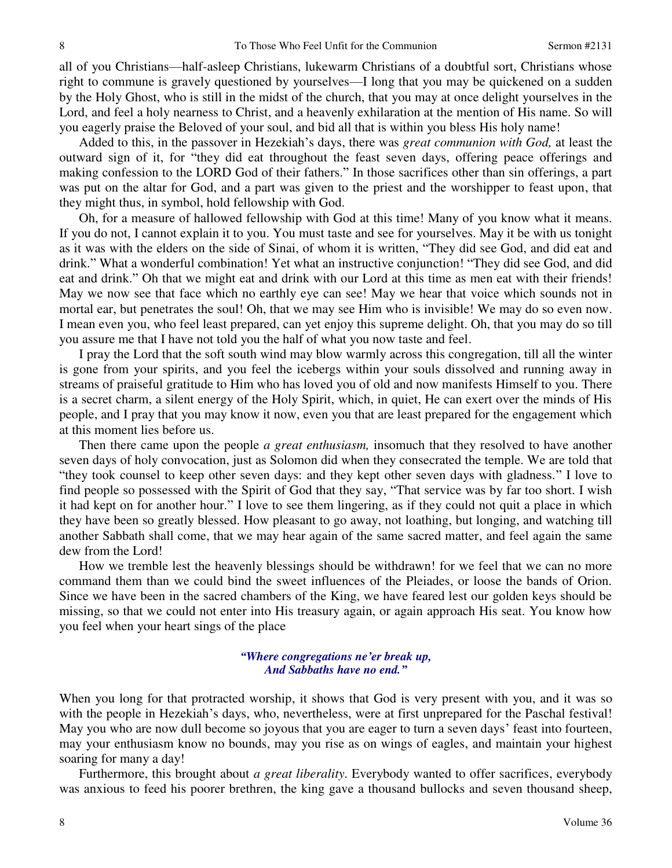all of you Christians—half-asleep Christians, lukewarm Christians of a doubtful sort, Christians whose right to commune is gravely questioned by yourselves—I long that you may be quickened on a sudden by the Holy Ghost, who is still in the midst of the church, that you may at once delight yourselves in the Lord, and feel a holy nearness to Christ, and a heavenly exhilaration at the mention of His name. So will you eagerly praise the Beloved of your soul, and bid all that is within you bless His holy name!

 Added to this, in the passover in Hezekiah's days, there was *great communion with God,* at least the outward sign of it, for "they did eat throughout the feast seven days, offering peace offerings and making confession to the LORD God of their fathers." In those sacrifices other than sin offerings, a part was put on the altar for God, and a part was given to the priest and the worshipper to feast upon, that they might thus, in symbol, hold fellowship with God.

 Oh, for a measure of hallowed fellowship with God at this time! Many of you know what it means. If you do not, I cannot explain it to you. You must taste and see for yourselves. May it be with us tonight as it was with the elders on the side of Sinai, of whom it is written, "They did see God, and did eat and drink." What a wonderful combination! Yet what an instructive conjunction! "They did see God, and did eat and drink." Oh that we might eat and drink with our Lord at this time as men eat with their friends! May we now see that face which no earthly eye can see! May we hear that voice which sounds not in mortal ear, but penetrates the soul! Oh, that we may see Him who is invisible! We may do so even now. I mean even you, who feel least prepared, can yet enjoy this supreme delight. Oh, that you may do so till you assure me that I have not told you the half of what you now taste and feel.

 I pray the Lord that the soft south wind may blow warmly across this congregation, till all the winter is gone from your spirits, and you feel the icebergs within your souls dissolved and running away in streams of praiseful gratitude to Him who has loved you of old and now manifests Himself to you. There is a secret charm, a silent energy of the Holy Spirit, which, in quiet, He can exert over the minds of His people, and I pray that you may know it now, even you that are least prepared for the engagement which at this moment lies before us.

 Then there came upon the people *a great enthusiasm,* insomuch that they resolved to have another seven days of holy convocation, just as Solomon did when they consecrated the temple. We are told that "they took counsel to keep other seven days: and they kept other seven days with gladness." I love to find people so possessed with the Spirit of God that they say, "That service was by far too short. I wish it had kept on for another hour." I love to see them lingering, as if they could not quit a place in which they have been so greatly blessed. How pleasant to go away, not loathing, but longing, and watching till another Sabbath shall come, that we may hear again of the same sacred matter, and feel again the same dew from the Lord!

 How we tremble lest the heavenly blessings should be withdrawn! for we feel that we can no more command them than we could bind the sweet influences of the Pleiades, or loose the bands of Orion. Since we have been in the sacred chambers of the King, we have feared lest our golden keys should be missing, so that we could not enter into His treasury again, or again approach His seat. You know how you feel when your heart sings of the place

#### *"Where congregations ne'er break up, And Sabbaths have no end."*

When you long for that protracted worship, it shows that God is very present with you, and it was so with the people in Hezekiah's days, who, nevertheless, were at first unprepared for the Paschal festival! May you who are now dull become so joyous that you are eager to turn a seven days' feast into fourteen, may your enthusiasm know no bounds, may you rise as on wings of eagles, and maintain your highest soaring for many a day!

 Furthermore, this brought about *a great liberality*. Everybody wanted to offer sacrifices, everybody was anxious to feed his poorer brethren, the king gave a thousand bullocks and seven thousand sheep,

8